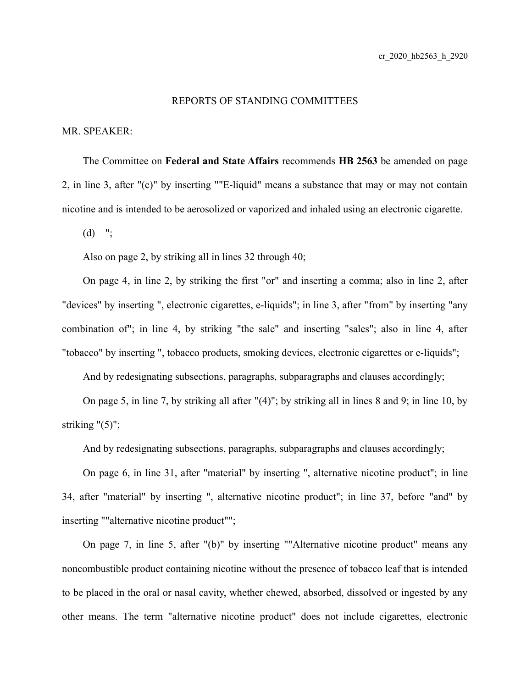## REPORTS OF STANDING COMMITTEES

## MR. SPEAKER:

The Committee on **Federal and State Affairs** recommends **HB 2563** be amended on page 2, in line 3, after "(c)" by inserting ""E-liquid" means a substance that may or may not contain nicotine and is intended to be aerosolized or vaporized and inhaled using an electronic cigarette.

 $(d)$  ";

Also on page 2, by striking all in lines 32 through 40;

On page 4, in line 2, by striking the first "or" and inserting a comma; also in line 2, after "devices" by inserting ", electronic cigarettes, e-liquids"; in line 3, after "from" by inserting "any combination of"; in line 4, by striking "the sale" and inserting "sales"; also in line 4, after "tobacco" by inserting ", tobacco products, smoking devices, electronic cigarettes or e-liquids";

And by redesignating subsections, paragraphs, subparagraphs and clauses accordingly;

On page 5, in line 7, by striking all after "(4)"; by striking all in lines 8 and 9; in line 10, by striking  $(5)$ ";

And by redesignating subsections, paragraphs, subparagraphs and clauses accordingly;

On page 6, in line 31, after "material" by inserting ", alternative nicotine product"; in line 34, after "material" by inserting ", alternative nicotine product"; in line 37, before "and" by inserting ""alternative nicotine product"";

On page 7, in line 5, after "(b)" by inserting ""Alternative nicotine product" means any noncombustible product containing nicotine without the presence of tobacco leaf that is intended to be placed in the oral or nasal cavity, whether chewed, absorbed, dissolved or ingested by any other means. The term "alternative nicotine product" does not include cigarettes, electronic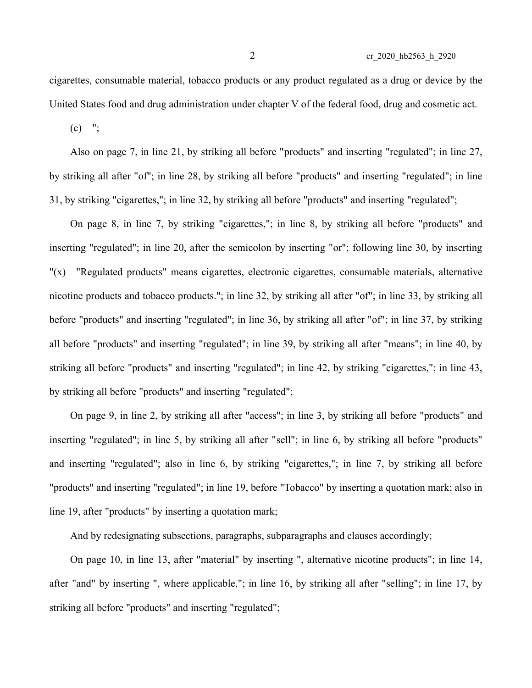$(c)$  ";

Also on page 7, in line 21, by striking all before "products" and inserting "regulated"; in line 27, by striking all after "of"; in line 28, by striking all before "products" and inserting "regulated"; in line 31, by striking "cigarettes,"; in line 32, by striking all before "products" and inserting "regulated";

On page 8, in line 7, by striking "cigarettes,"; in line 8, by striking all before "products" and inserting "regulated"; in line 20, after the semicolon by inserting "or"; following line 30, by inserting "(x) "Regulated products" means cigarettes, electronic cigarettes, consumable materials, alternative nicotine products and tobacco products."; in line 32, by striking all after "of"; in line 33, by striking all before "products" and inserting "regulated"; in line 36, by striking all after "of"; in line 37, by striking all before "products" and inserting "regulated"; in line 39, by striking all after "means"; in line 40, by striking all before "products" and inserting "regulated"; in line 42, by striking "cigarettes,"; in line 43, by striking all before "products" and inserting "regulated";

On page 9, in line 2, by striking all after "access"; in line 3, by striking all before "products" and inserting "regulated"; in line 5, by striking all after "sell"; in line 6, by striking all before "products" and inserting "regulated"; also in line 6, by striking "cigarettes,"; in line 7, by striking all before "products" and inserting "regulated"; in line 19, before "Tobacco" by inserting a quotation mark; also in line 19, after "products" by inserting a quotation mark;

And by redesignating subsections, paragraphs, subparagraphs and clauses accordingly;

On page 10, in line 13, after "material" by inserting ", alternative nicotine products"; in line 14, after "and" by inserting ", where applicable,"; in line 16, by striking all after "selling"; in line 17, by striking all before "products" and inserting "regulated";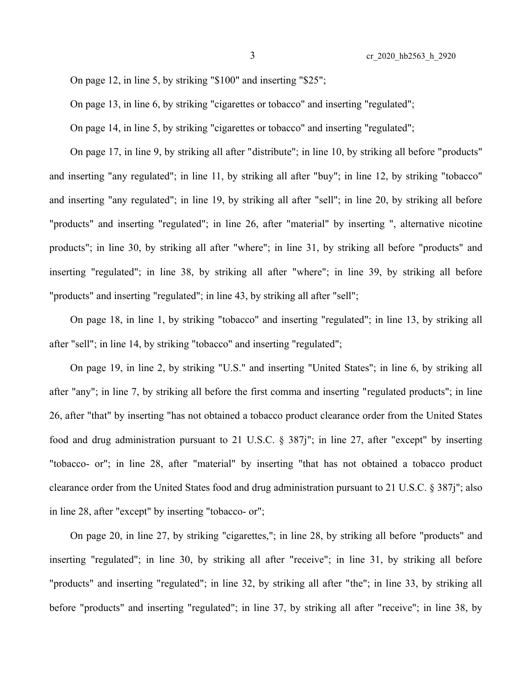On page 12, in line 5, by striking "\$100" and inserting "\$25";

On page 13, in line 6, by striking "cigarettes or tobacco" and inserting "regulated";

On page 14, in line 5, by striking "cigarettes or tobacco" and inserting "regulated";

On page 17, in line 9, by striking all after "distribute"; in line 10, by striking all before "products" and inserting "any regulated"; in line 11, by striking all after "buy"; in line 12, by striking "tobacco" and inserting "any regulated"; in line 19, by striking all after "sell"; in line 20, by striking all before "products" and inserting "regulated"; in line 26, after "material" by inserting ", alternative nicotine products"; in line 30, by striking all after "where"; in line 31, by striking all before "products" and inserting "regulated"; in line 38, by striking all after "where"; in line 39, by striking all before "products" and inserting "regulated"; in line 43, by striking all after "sell";

On page 18, in line 1, by striking "tobacco" and inserting "regulated"; in line 13, by striking all after "sell"; in line 14, by striking "tobacco" and inserting "regulated";

On page 19, in line 2, by striking "U.S." and inserting "United States"; in line 6, by striking all after "any"; in line 7, by striking all before the first comma and inserting "regulated products"; in line 26, after "that" by inserting "has not obtained a tobacco product clearance order from the United States food and drug administration pursuant to 21 U.S.C. § 387j"; in line 27, after "except" by inserting "tobacco- or"; in line 28, after "material" by inserting "that has not obtained a tobacco product clearance order from the United States food and drug administration pursuant to 21 U.S.C. § 387j"; also in line 28, after "except" by inserting "tobacco- or";

On page 20, in line 27, by striking "cigarettes,"; in line 28, by striking all before "products" and inserting "regulated"; in line 30, by striking all after "receive"; in line 31, by striking all before "products" and inserting "regulated"; in line 32, by striking all after "the"; in line 33, by striking all before "products" and inserting "regulated"; in line 37, by striking all after "receive"; in line 38, by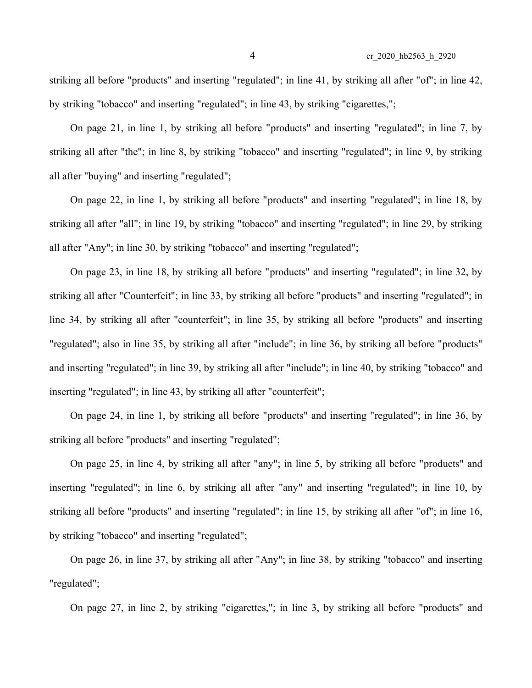striking all before "products" and inserting "regulated"; in line 41, by striking all after "of"; in line 42, by striking "tobacco" and inserting "regulated"; in line 43, by striking "cigarettes,";

On page 21, in line 1, by striking all before "products" and inserting "regulated"; in line 7, by striking all after "the"; in line 8, by striking "tobacco" and inserting "regulated"; in line 9, by striking all after "buying" and inserting "regulated";

On page 22, in line 1, by striking all before "products" and inserting "regulated"; in line 18, by striking all after "all"; in line 19, by striking "tobacco" and inserting "regulated"; in line 29, by striking all after "Any"; in line 30, by striking "tobacco" and inserting "regulated";

On page 23, in line 18, by striking all before "products" and inserting "regulated"; in line 32, by striking all after "Counterfeit"; in line 33, by striking all before "products" and inserting "regulated"; in line 34, by striking all after "counterfeit"; in line 35, by striking all before "products" and inserting "regulated"; also in line 35, by striking all after "include"; in line 36, by striking all before "products" and inserting "regulated"; in line 39, by striking all after "include"; in line 40, by striking "tobacco" and inserting "regulated"; in line 43, by striking all after "counterfeit";

On page 24, in line 1, by striking all before "products" and inserting "regulated"; in line 36, by striking all before "products" and inserting "regulated";

On page 25, in line 4, by striking all after "any"; in line 5, by striking all before "products" and inserting "regulated"; in line 6, by striking all after "any" and inserting "regulated"; in line 10, by striking all before "products" and inserting "regulated"; in line 15, by striking all after "of"; in line 16, by striking "tobacco" and inserting "regulated";

On page 26, in line 37, by striking all after "Any"; in line 38, by striking "tobacco" and inserting "regulated";

On page 27, in line 2, by striking "cigarettes,"; in line 3, by striking all before "products" and